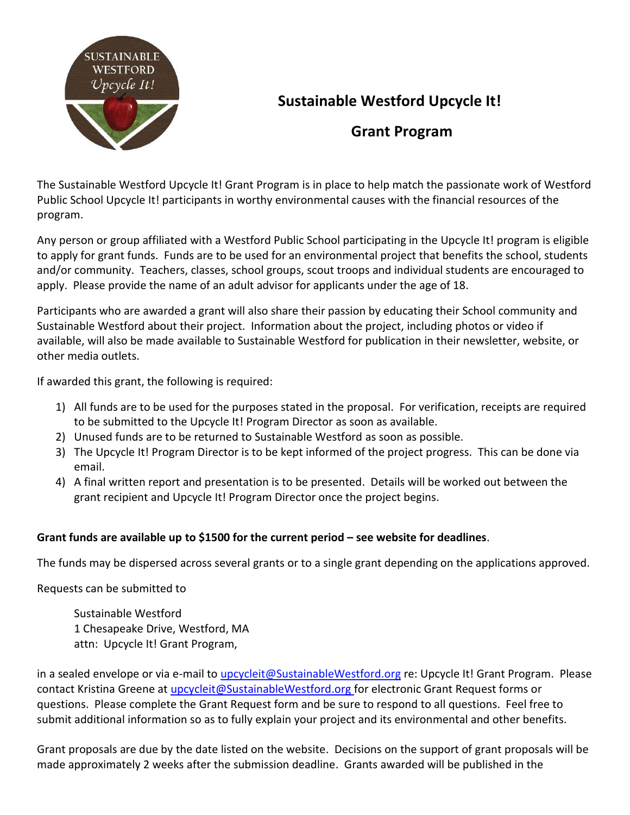

## **Sustainable Westford Upcycle It!**

## **Grant Program**

The Sustainable Westford Upcycle It! Grant Program is in place to help match the passionate work of Westford Public School Upcycle It! participants in worthy environmental causes with the financial resources of the program.

Any person or group affiliated with a Westford Public School participating in the Upcycle It! program is eligible to apply for grant funds. Funds are to be used for an environmental project that benefits the school, students and/or community. Teachers, classes, school groups, scout troops and individual students are encouraged to apply. Please provide the name of an adult advisor for applicants under the age of 18.

Participants who are awarded a grant will also share their passion by educating their School community and Sustainable Westford about their project. Information about the project, including photos or video if available, will also be made available to Sustainable Westford for publication in their newsletter, website, or other media outlets.

If awarded this grant, the following is required:

- 1) All funds are to be used for the purposes stated in the proposal. For verification, receipts are required to be submitted to the Upcycle It! Program Director as soon as available.
- 2) Unused funds are to be returned to Sustainable Westford as soon as possible.
- 3) The Upcycle It! Program Director is to be kept informed of the project progress. This can be done via email.
- 4) A final written report and presentation is to be presented. Details will be worked out between the grant recipient and Upcycle It! Program Director once the project begins.

## **Grant funds are available up to \$1500 for the current period – see website for deadlines**.

The funds may be dispersed across several grants or to a single grant depending on the applications approved.

Requests can be submitted to

Sustainable Westford 1 Chesapeake Drive, Westford, MA attn: Upcycle It! Grant Program,

in a sealed envelope or via e-mail to upcycleit@SustainableWestford.org re: Upcycle It! Grant Program. Please contact Kristina Greene at *upcycleit@SustainableWestford.org* for electronic Grant Request forms or questions. Please complete the Grant Request form and be sure to respond to all questions. Feel free to submit additional information so as to fully explain your project and its environmental and other benefits.

Grant proposals are due by the date listed on the website. Decisions on the support of grant proposals will be made approximately 2 weeks after the submission deadline. Grants awarded will be published in the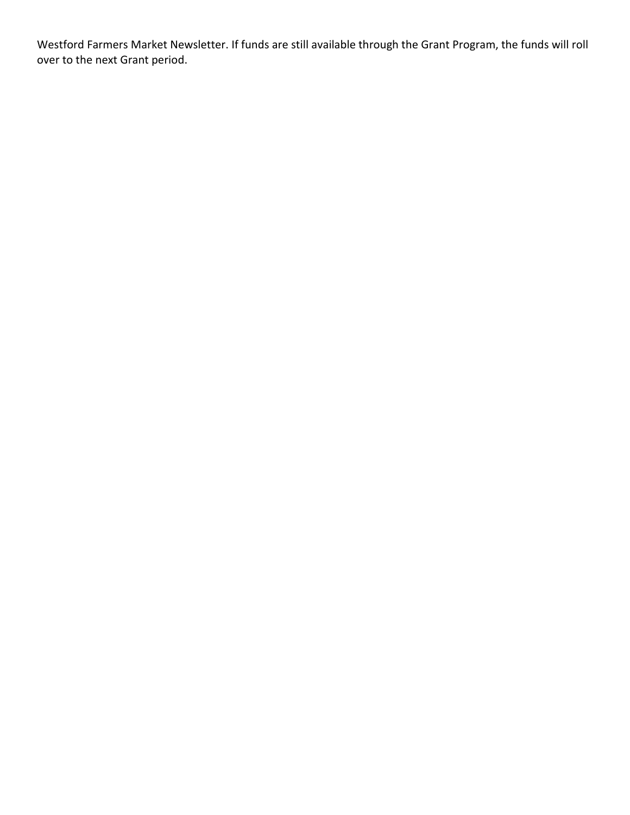Westford Farmers Market Newsletter. If funds are still available through the Grant Program, the funds will roll over to the next Grant period.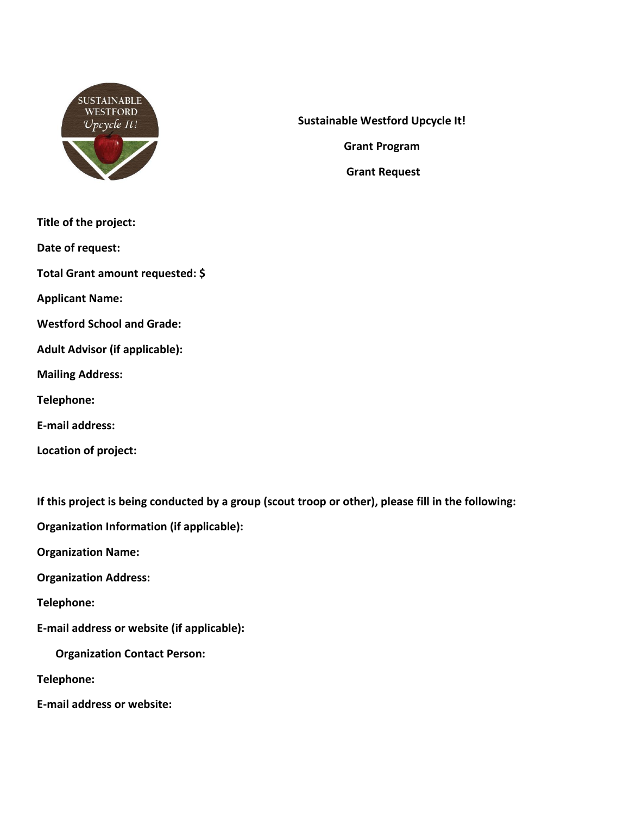

**Sustainable Westford Upcycle It!**

**Grant Program**

**Grant Request** 

- **Title of the project:**
- **Date of request:**

**Total Grant amount requested: \$**

**Applicant Name:** 

**Westford School and Grade:** 

**Adult Advisor (if applicable):** 

**Mailing Address:**

**Telephone:**

**E-mail address:** 

**Location of project:**

**If this project is being conducted by a group (scout troop or other), please fill in the following:**

**Organization Information (if applicable):**

**Organization Name:** 

**Organization Address:** 

**Telephone:** 

**E-mail address or website (if applicable):** 

**Organization Contact Person:**

**Telephone:**

**E-mail address or website:**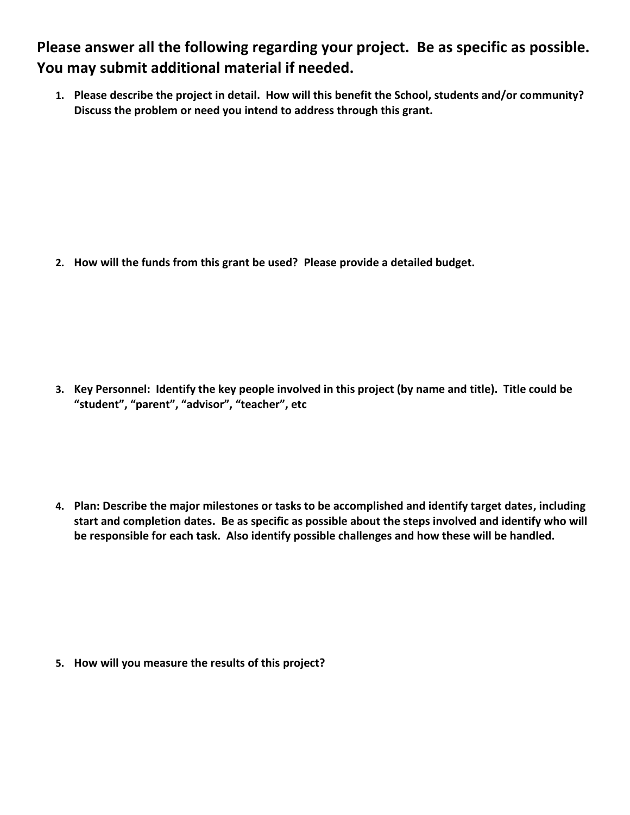**Please answer all the following regarding your project. Be as specific as possible. You may submit additional material if needed.**

**1. Please describe the project in detail. How will this benefit the School, students and/or community? Discuss the problem or need you intend to address through this grant.**

**2. How will the funds from this grant be used? Please provide a detailed budget.**

**3. Key Personnel: Identify the key people involved in this project (by name and title). Title could be "student", "parent", "advisor", "teacher", etc**

**4. Plan: Describe the major milestones or tasks to be accomplished and identify target dates, including start and completion dates. Be as specific as possible about the steps involved and identify who will be responsible for each task. Also identify possible challenges and how these will be handled.**

**5. How will you measure the results of this project?**